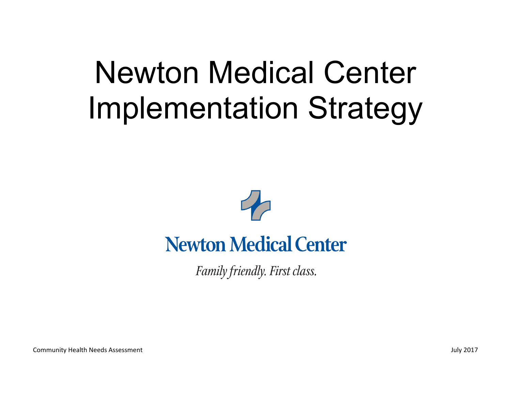## Newton Medical Center Implementation Strategy



## **Newton Medical Center**

Family friendly. First class.

Community Health Needs Assessment July 2017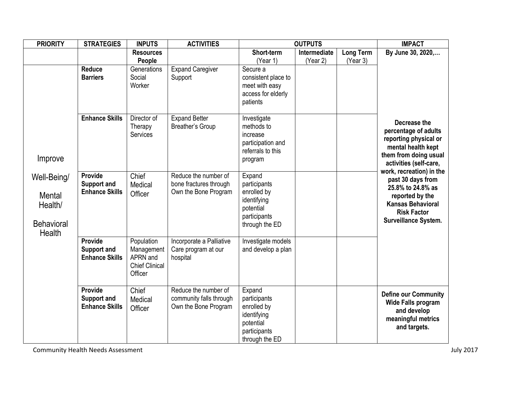| <b>PRIORITY</b>                                                               | <b>STRATEGIES</b>                                      | <b>INPUTS</b>                                                            | <b>ACTIVITIES</b>                                                       | <b>OUTPUTS</b>                                                                                      |                          |                              | <b>IMPACT</b>                                                                                                                                                   |
|-------------------------------------------------------------------------------|--------------------------------------------------------|--------------------------------------------------------------------------|-------------------------------------------------------------------------|-----------------------------------------------------------------------------------------------------|--------------------------|------------------------------|-----------------------------------------------------------------------------------------------------------------------------------------------------------------|
|                                                                               |                                                        | <b>Resources</b><br>People                                               |                                                                         | Short-term<br>(Year 1)                                                                              | Intermediate<br>(Year 2) | <b>Long Term</b><br>(Year 3) | By June 30, 2020,                                                                                                                                               |
|                                                                               | <b>Reduce</b><br><b>Barriers</b>                       | Generations<br>Social<br>Worker                                          | <b>Expand Caregiver</b><br>Support                                      | Secure a<br>consistent place to<br>meet with easy<br>access for elderly<br>patients                 |                          |                              |                                                                                                                                                                 |
| Improve                                                                       | <b>Enhance Skills</b>                                  | Director of<br>Therapy<br>Services                                       | <b>Expand Better</b><br>Breather's Group                                | Investigate<br>methods to<br>increase<br>participation and<br>referrals to this<br>program          |                          |                              | Decrease the<br>percentage of adults<br>reporting physical or<br>mental health kept<br>them from doing usual<br>activities (self-care,                          |
| Well-Being/<br><b>Mental</b><br>Health/<br><b>Behavioral</b><br><b>Health</b> | Provide<br><b>Support and</b><br><b>Enhance Skills</b> | Chief<br>Medical<br>Officer                                              | Reduce the number of<br>bone fractures through<br>Own the Bone Program  | Expand<br>participants<br>enrolled by<br>identifying<br>potential<br>participants<br>through the ED |                          |                              | work, recreation) in the<br>past 30 days from<br>25.8% to 24.8% as<br>reported by the<br><b>Kansas Behavioral</b><br><b>Risk Factor</b><br>Surveillance System. |
|                                                                               | Provide<br><b>Support and</b><br><b>Enhance Skills</b> | Population<br>Management<br>APRN and<br><b>Chief Clinical</b><br>Officer | Incorporate a Palliative<br>Care program at our<br>hospital             | Investigate models<br>and develop a plan                                                            |                          |                              |                                                                                                                                                                 |
|                                                                               | Provide<br><b>Support and</b><br><b>Enhance Skills</b> | Chief<br>Medical<br>Officer                                              | Reduce the number of<br>community falls through<br>Own the Bone Program | Expand<br>participants<br>enrolled by<br>identifying<br>potential<br>participants<br>through the ED |                          |                              | <b>Define our Community</b><br><b>Wide Falls program</b><br>and develop<br>meaningful metrics<br>and targets.                                                   |

Community Health Needs Assessment developed a state of the Community Health Needs Assessment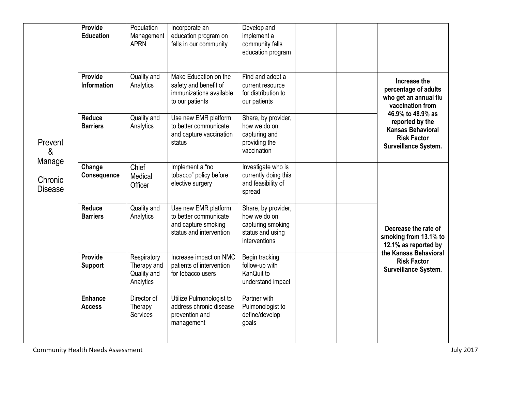| Prevent<br>&<br>Manage<br>Chronic<br><b>Disease</b> | Provide<br><b>Education</b>          | Population<br>Management<br><b>APRN</b>                | Incorporate an<br>education program on<br>falls in our community                                | Develop and<br>implement a<br>community falls<br>education program                            |  |                                                                                                                                                                                                     |
|-----------------------------------------------------|--------------------------------------|--------------------------------------------------------|-------------------------------------------------------------------------------------------------|-----------------------------------------------------------------------------------------------|--|-----------------------------------------------------------------------------------------------------------------------------------------------------------------------------------------------------|
|                                                     | <b>Provide</b><br><b>Information</b> | Quality and<br>Analytics                               | Make Education on the<br>safety and benefit of<br>immunizations available<br>to our patients    | Find and adopt a<br>current resource<br>for distribution to<br>our patients                   |  | Increase the<br>percentage of adults<br>who get an annual flu<br>vaccination from<br>46.9% to 48.9% as<br>reported by the<br><b>Kansas Behavioral</b><br><b>Risk Factor</b><br>Surveillance System. |
|                                                     | <b>Reduce</b><br><b>Barriers</b>     | Quality and<br>Analytics                               | Use new EMR platform<br>to better communicate<br>and capture vaccination<br>status              | Share, by provider,<br>how we do on<br>capturing and<br>providing the<br>vaccination          |  |                                                                                                                                                                                                     |
|                                                     | Change<br>Consequence                | Chief<br>Medical<br>Officer                            | Implement a "no<br>tobacco" policy before<br>elective surgery                                   | Investigate who is<br>currently doing this<br>and feasibility of<br>spread                    |  | Decrease the rate of<br>smoking from 13.1% to<br>12.1% as reported by<br>the Kansas Behavioral<br><b>Risk Factor</b><br>Surveillance System.                                                        |
|                                                     | <b>Reduce</b><br><b>Barriers</b>     | Quality and<br>Analytics                               | Use new EMR platform<br>to better communicate<br>and capture smoking<br>status and intervention | Share, by provider,<br>how we do on<br>capturing smoking<br>status and using<br>interventions |  |                                                                                                                                                                                                     |
|                                                     | Provide<br><b>Support</b>            | Respiratory<br>Therapy and<br>Quality and<br>Analytics | Increase impact on NMC<br>patients of intervention<br>for tobacco users                         | Begin tracking<br>follow-up with<br>KanQuit to<br>understand impact                           |  |                                                                                                                                                                                                     |
|                                                     | <b>Enhance</b><br><b>Access</b>      | Director of<br>Therapy<br>Services                     | Utilize Pulmonologist to<br>address chronic disease<br>prevention and<br>management             | Partner with<br>Pulmonologist to<br>define/develop<br>goals                                   |  |                                                                                                                                                                                                     |

Community Health Needs Assessment developed a state of the Community Health Needs Assessment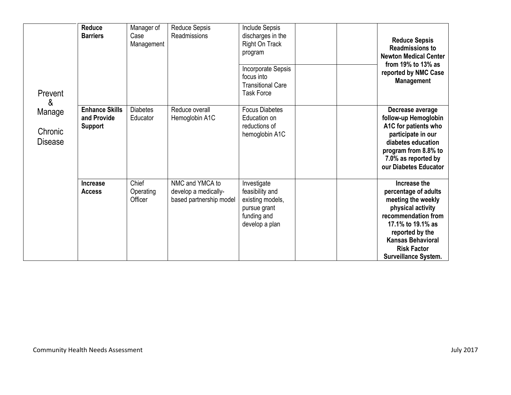| Prevent<br>&<br>Manage<br>Chronic<br><b>Disease</b> | <b>Reduce</b><br><b>Barriers</b>                       | Manager of<br>Case<br>Management | <b>Reduce Sepsis</b><br>Readmissions                               | Include Sepsis<br>discharges in the<br><b>Right On Track</b><br>program<br>Incorporate Sepsis<br>focus into<br><b>Transitional Care</b><br><b>Task Force</b> | <b>Reduce Sepsis</b><br><b>Readmissions to</b><br><b>Newton Medical Center</b><br>from $19\%$ to $13\%$ as<br>reported by NMC Case<br><b>Management</b>                                                                         |
|-----------------------------------------------------|--------------------------------------------------------|----------------------------------|--------------------------------------------------------------------|--------------------------------------------------------------------------------------------------------------------------------------------------------------|---------------------------------------------------------------------------------------------------------------------------------------------------------------------------------------------------------------------------------|
|                                                     | <b>Enhance Skills</b><br>and Provide<br><b>Support</b> | <b>Diabetes</b><br>Educator      | Reduce overall<br>Hemoglobin A1C                                   | <b>Focus Diabetes</b><br>Education on<br>reductions of<br>hemoglobin A1C                                                                                     | Decrease average<br>follow-up Hemoglobin<br>A1C for patients who<br>participate in our<br>diabetes education<br>program from 8.8% to<br>7.0% as reported by<br>our Diabetes Educator                                            |
|                                                     | Increase<br><b>Access</b>                              | Chief<br>Operating<br>Officer    | NMC and YMCA to<br>develop a medically-<br>based partnership model | Investigate<br>feasibility and<br>existing models,<br>pursue grant<br>funding and<br>develop a plan                                                          | Increase the<br>percentage of adults<br>meeting the weekly<br>physical activity<br>recommendation from<br>17.1% to 19.1% as<br>reported by the<br><b>Kansas Behavioral</b><br><b>Risk Factor</b><br><b>Surveillance System.</b> |